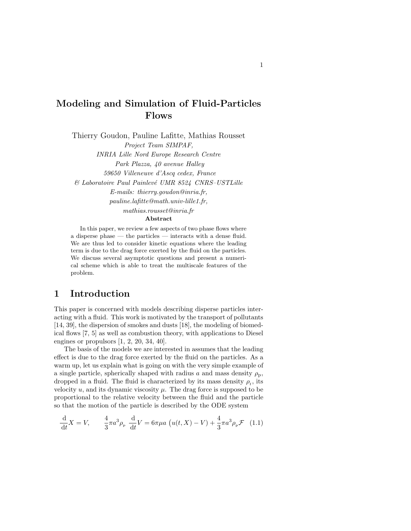# Modeling and Simulation of Fluid-Particles Flows

Thierry Goudon, Pauline Lafitte, Mathias Rousset Project Team SIMPAF, INRIA Lille Nord Europe Research Centre

Park Plazza, 40 avenue Halley 59650 Villeneuve d'Ascq cedex, France  $& Laboratoire Paul Painlevé UMR 8524 CNRS-USTLille$ E-mails: thierry.goudon@inria.fr, pauline.lafitte@math.univ-lille1.fr, mathias.rousset@inria.fr Abstract

In this paper, we review a few aspects of two phase flows where a disperse phase — the particles — interacts with a dense fluid. We are thus led to consider kinetic equations where the leading term is due to the drag force exerted by the fluid on the particles. We discuss several asymptotic questions and present a numeri-

cal scheme which is able to treat the multiscale features of the problem.

# 1 Introduction

This paper is concerned with models describing disperse particles interacting with a fluid. This work is motivated by the transport of pollutants [14, 39], the dispersion of smokes and dusts [18], the modeling of biomedical flows [7, 5] as well as combustion theory, with applications to Diesel engines or propulsors [1, 2, 20, 34, 40].

The basis of the models we are interested in assumes that the leading effect is due to the drag force exerted by the fluid on the particles. As a warm up, let us explain what is going on with the very simple example of a single particle, spherically shaped with radius a and mass density  $\rho_{\rm p}$ , dropped in a fluid. The fluid is characterized by its mass density  $\rho_{\rm f}$ , its velocity  $u$ , and its dynamic viscosity  $\mu$ . The drag force is supposed to be proportional to the relative velocity between the fluid and the particle so that the motion of the particle is described by the ODE system

$$
\frac{d}{dt}X = V, \qquad \frac{4}{3}\pi a^3 \rho_{\rm p} \frac{d}{dt}V = 6\pi \mu a \left( u(t, X) - V \right) + \frac{4}{3}\pi a^3 \rho_{\rm p} \mathcal{F} \tag{1.1}
$$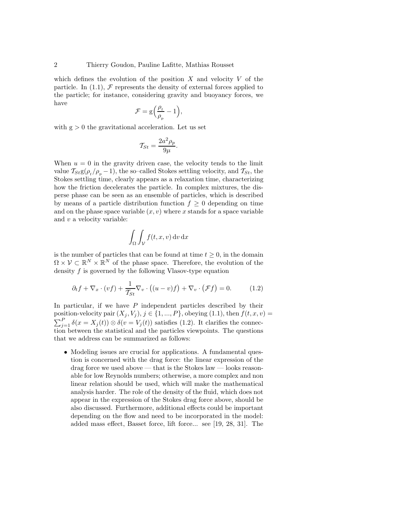which defines the evolution of the position X and velocity  $V$  of the particle. In (1.1),  $\mathcal F$  represents the density of external forces applied to the particle; for instance, considering gravity and buoyancy forces, we have

$$
\mathcal{F} = g\left(\frac{\rho_{f}}{\rho_{p}} - 1\right),
$$

with  $g > 0$  the gravitational acceleration. Let us set

$$
\mathcal{T}_{St} = \frac{2a^2 \rho_p}{9\mu}
$$

.

When  $u = 0$  in the gravity driven case, the velocity tends to the limit value  $T_{St}g(\rho_f/\rho_p - 1)$ , the so–called Stokes settling velocity, and  $T_{St}$ , the Stokes settling time, clearly appears as a relaxation time, characterizing how the friction decelerates the particle. In complex mixtures, the disperse phase can be seen as an ensemble of particles, which is described by means of a particle distribution function  $f \geq 0$  depending on time and on the phase space variable  $(x, v)$  where x stands for a space variable and v a velocity variable:

$$
\int_{\Omega} \int_{\mathcal{V}} f(t, x, v) \, \mathrm{d}v \, \mathrm{d}x
$$

is the number of particles that can be found at time  $t \geq 0$ , in the domain  $\Omega \times \mathcal{V} \subset \mathbb{R}^N \times \mathbb{R}^N$  of the phase space. Therefore, the evolution of the density f is governed by the following Vlasov-type equation

$$
\partial_t f + \nabla_x \cdot (vf) + \frac{1}{\mathcal{T}_{St}} \nabla_v \cdot \left( (u - v)f \right) + \nabla_v \cdot (\mathcal{F}f) = 0. \tag{1.2}
$$

In particular, if we have  $P$  independent particles described by their position-velocity pair  $(X_j, V_j), j \in \{1, ..., P\}$ , obeying  $(1.1)$ , then  $f(t, x, v)$  =  $\sum_{j=1}^{P} \delta(x = X_j(t)) \otimes \delta(v = V_j(t))$  satisfies (1.2). It clarifies the connection between the statistical and the particles viewpoints. The questions that we address can be summarized as follows:

• Modeling issues are crucial for applications. A fundamental question is concerned with the drag force: the linear expression of the drag force we used above — that is the Stokes law — looks reasonable for low Reynolds numbers; otherwise, a more complex and non linear relation should be used, which will make the mathematical analysis harder. The role of the density of the fluid, which does not appear in the expression of the Stokes drag force above, should be also discussed. Furthermore, additional effects could be important depending on the flow and need to be incorporated in the model: added mass effect, Basset force, lift force... see [19, 28, 31]. The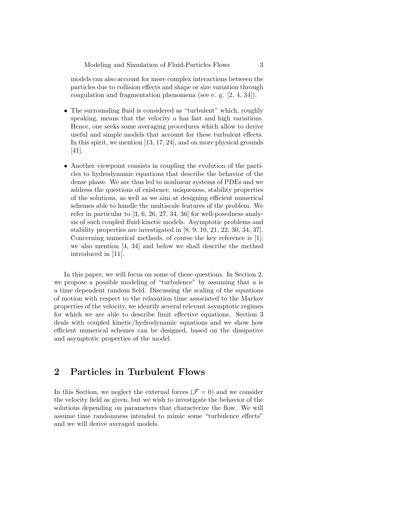models can also account for more complex interactions between the particles due to collision effects and shape or size variation through coagulation and fragmentation phenomena (see e. g. [2, 4, 34]).

- The surrounding fluid is considered as "turbulent" which, roughly speaking, means that the velocity u has fast and high variations. Hence, one seeks some averaging procedures which allow to derive useful and simple models that account for these turbulent effects. In this spirit, we mention [13, 17, 24], and on more physical grounds [41].
- Another viewpoint consists in coupling the evolution of the particles to hydrodynamic equations that describe the behavior of the dense phase. We are thus led to nonlinear systems of PDEs and we address the questions of existence, uniqueness, stability properties of the solutions, as well as we aim at designing efficient numerical schemes able to handle the multiscale features of the problem. We refer in particular to [3, 6, 26, 27, 34, 36] for well-posedness analysis of such coupled fluid-kinetic models. Asymptotic problems and stability properties are investigated in [8, 9, 10, 21, 22, 30, 34, 37]. Concerning numerical methods, of course the key reference is [1]; we also mention [4, 34] and below we shall describe the method introduced in [11].

In this paper, we will focus on some of these questions. In Section 2, we propose a possible modeling of "turbulence" by assuming that  $u$  is a time dependent random field. Discussing the scaling of the equations of motion with respect to the relaxation time associated to the Markov properties of the velocity, we identify several relevant asymptotic regimes for which we are able to describe limit effective equations. Section 3 deals with coupled kinetic/hydrodynamic equations and we show how efficient numerical schemes can be designed, based on the dissipative and asymptotic properties of the model.

# 2 Particles in Turbulent Flows

In this Section, we neglect the external forces ( $\mathcal{F} = 0$ ) and we consider the velocity field as given, but we wish to investigate the behavior of the solutions depending on parameters that characterize the flow. We will assume time randomness intended to mimic some "turbulence effects" and we will derive averaged models.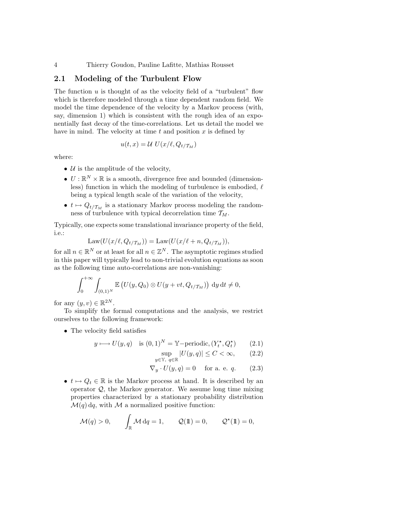## 2.1 Modeling of the Turbulent Flow

The function  $u$  is thought of as the velocity field of a "turbulent" flow which is therefore modeled through a time dependent random field. We model the time dependence of the velocity by a Markov process (with, say, dimension 1) which is consistent with the rough idea of an exponentially fast decay of the time-correlations. Let us detail the model we have in mind. The velocity at time  $t$  and position  $x$  is defined by

$$
u(t,x) = \mathcal{U} U(x/\ell, Q_{t/\mathcal{T}_M})
$$

where:

- $U$  is the amplitude of the velocity,
- $\bullet~ U : \mathbb{R}^N \times \mathbb{R}$  is a smooth, divergence free and bounded (dimensionless) function in which the modeling of turbulence is embodied,  $\ell$ being a typical length scale of the variation of the velocity,
- $t \mapsto Q_{t/\mathcal{T}_M}$  is a stationary Markov process modeling the randomness of turbulence with typical decorrelation time  $\mathcal{T}_M$ .

Typically, one expects some translational invariance property of the field, i.e.:

$$
Law(U(x/\ell, Q_{t/\mathcal{T}_M})) = Law(U(x/\ell+n, Q_{t/\mathcal{T}_M})),
$$

for all  $n \in \mathbb{R}^N$  or at least for all  $n \in \mathbb{Z}^N$ . The asymptotic regimes studied in this paper will typically lead to non-trivial evolution equations as soon as the following time auto-correlations are non-vanishing:

$$
\int_0^{+\infty} \int_{(0,1)^N} \mathbb{E}\left( U(y,Q_0) \otimes U(y+vt,Q_{t/\mathcal{T}_M}) \right) dy dt \neq 0,
$$

for any  $(y, v) \in \mathbb{R}^{2N}$ .

To simplify the formal computations and the analysis, we restrict ourselves to the following framework:

• The velocity field satisfies

$$
y \longmapsto U(y, q) \text{ is } (0, 1)^N = \mathbb{Y}\text{-periodic}, (Y_t^{\star}, Q_t^{\star}) \qquad (2.1)
$$

$$
\sup_{y \in \mathbb{Y}, q \in \mathbb{R}} |U(y, q)| \le C < \infty,
$$
 (2.2)

$$
\nabla_y \cdot U(y, q) = 0 \quad \text{for a. e. } q. \tag{2.3}
$$

- $t \mapsto Q_t \in \mathbb{R}$  is the Markov process at hand. It is described by an
- operator  $Q$ , the Markov generator. We assume long time mixing properties characterized by a stationary probability distribution  $\mathcal{M}(q)$  dq, with  $\mathcal M$  a normalized positive function:

$$
\mathcal{M}(q) > 0, \qquad \int_{\mathbb{R}} \mathcal{M} \, dq = 1, \qquad \mathcal{Q}(\mathbb{1}) = 0, \qquad \mathcal{Q}^{\star}(\mathbb{1}) = 0,
$$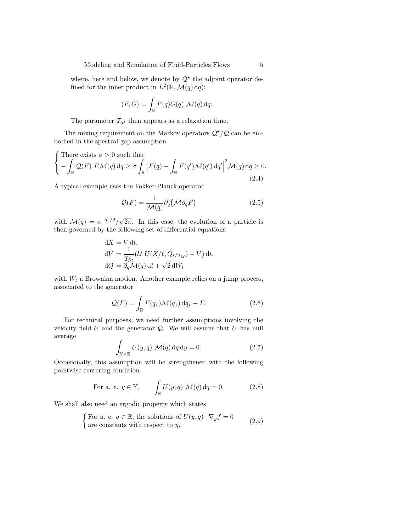where, here and below, we denote by  $\mathcal{Q}^*$  the adjoint operator defined for the inner product in  $L^2(\mathbb{R}, \mathcal{M}(q) \, dq)$ :

$$
(F, G) = \int_{\mathbb{R}} F(q)G(q) \mathcal{M}(q) dq.
$$

The parameter  $\mathcal{T}_M$  then appears as a relaxation time.

The mixing requirement on the Markov operators  $\mathcal{Q}^{\star}/\mathcal{Q}$  can be embodied in the spectral gap assumption

$$
\begin{cases}\n\text{There exists } \sigma > 0 \text{ such that} \\
-\int_{\mathbb{R}} \mathcal{Q}(F) \ F \mathcal{M}(q) \, \mathrm{d}q \ge \sigma \int_{\mathbb{R}} \left| F(q) - \int_{\mathbb{R}} F(q') \mathcal{M}(q') \, \mathrm{d}q' \right|^2 \mathcal{M}(q) \, \mathrm{d}q \ge 0. \\
(2.4)\n\end{cases}
$$

A typical example uses the Fokker-Planck operator

 $\overline{a}$ 

$$
\mathcal{Q}(F) = \frac{1}{\mathcal{M}(q)} \partial_q (\mathcal{M} \partial_q F) \tag{2.5}
$$

with  $\mathcal{M}(q) = e^{-q^2/2}/\sqrt{2\pi}$ . In this case, the evolution of a particle is then governed by the following set of differential equations

$$
dX = V dt,
$$
  
\n
$$
dV = \frac{1}{\mathcal{T}_{St}} \left( U U(X/\ell, Q_{t/\mathcal{T}_M}) - V \right) dt,
$$
  
\n
$$
dQ = \partial_q \mathcal{M}(q) dt + \sqrt{2} dW_t
$$

with  $W_t$  a Brownian motion. Another example relies on a jump process, associated to the generator

$$
\mathcal{Q}(F) = \int_{\mathbb{R}} F(q_{\star}) \mathcal{M}(q_{\star}) \, dq_{\star} - F.
$$
 (2.6)

For technical purposes, we need further assumptions involving the velocity field  $U$  and the generator  $Q$ . We will assume that  $U$  has null average

$$
\int_{\mathbb{Y}\times\mathbb{R}} U(y,q) \mathcal{M}(q) \,dq \,dy = 0.
$$
\n(2.7)

Occasionally, this assumption will be strengthened with the following pointwise centering condition

For a. e. 
$$
y \in \mathbb{Y}
$$
,  $\int_{\mathbb{R}} U(y, q) \mathcal{M}(q) dq = 0.$  (2.8)

We shall also need an ergodic property which states

{For a. e. 
$$
q \in \mathbb{R}
$$
, the solutions of  $U(y, q) \cdot \nabla_y f = 0$   
are constants with respect to y, (2.9)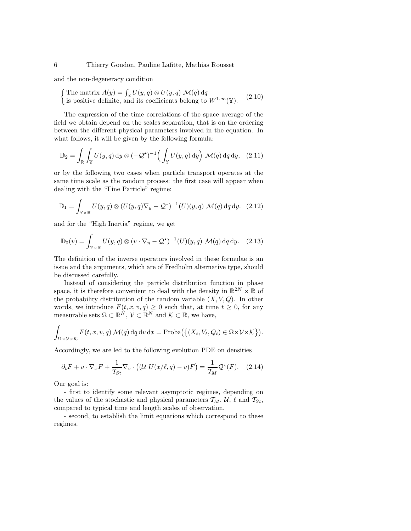and the non-degeneracy condition

The matrix  $A(y) = \int_{\mathbb{R}} U(y, q) \otimes U(y, q) \mathcal{M}(q) dq$ <br>is positive definite, and its coefficients belong to  $W^{1,\infty}(\mathbb{Y})$ . (2.10)

The expression of the time correlations of the space average of the field we obtain depend on the scales separation, that is on the ordering between the different physical parameters involved in the equation. In what follows, it will be given by the following formula:

$$
\mathbb{D}_2 = \int_{\mathbb{R}} \int_{\mathbb{Y}} U(y, q) \, \mathrm{d}y \otimes (-\mathcal{Q}^*)^{-1} \Big( \int_{\mathbb{Y}} U(y, q) \, \mathrm{d}y \Big) \, \mathcal{M}(q) \, \mathrm{d}q \, \mathrm{d}y, \tag{2.11}
$$

or by the following two cases when particle transport operates at the same time scale as the random process: the first case will appear when dealing with the "Fine Particle" regime:

$$
\mathbb{D}_1 = \int_{\mathbb{Y} \times \mathbb{R}} U(y, q) \otimes (U(y, q) \nabla_y - \mathcal{Q}^*)^{-1}(U)(y, q) \mathcal{M}(q) dq dy. \tag{2.12}
$$

and for the "High Inertia" regime, we get

$$
\mathbb{D}_0(v) = \int_{\mathbb{Y} \times \mathbb{R}} U(y, q) \otimes (v \cdot \nabla_y - \mathcal{Q}^*)^{-1}(U)(y, q) \mathcal{M}(q) dq dy. \quad (2.13)
$$

The definition of the inverse operators involved in these formulae is an issue and the arguments, which are of Fredholm alternative type, should be discussed carefully.

Instead of considering the particle distribution function in phase space, it is therefore convenient to deal with the density in  $\mathbb{R}^{2N} \times \mathbb{R}$  of the probability distribution of the random variable  $(X, V, Q)$ . In other words, we introduce  $F(t, x, v, q) \geq 0$  such that, at time  $t \geq 0$ , for any measurable sets  $\Omega \subset \mathbb{R}^N$ ,  $\mathcal{V} \subset \mathbb{R}^N$  and  $\mathcal{K} \subset \mathbb{R}$ , we have,

$$
\int_{\Omega \times \mathcal{V} \times \mathcal{K}} F(t, x, v, q) \mathcal{M}(q) dq dv dx = \text{Proba}(\{(X_t, V_t, Q_t) \in \Omega \times \mathcal{V} \times \mathcal{K}\}).
$$

Accordingly, we are led to the following evolution PDE on densities

$$
\partial_t F + v \cdot \nabla_x F + \frac{1}{\mathcal{T}_{St}} \nabla_v \cdot \left( (\mathcal{U} \ U(x/\ell, q) - v) F \right) = \frac{1}{\mathcal{T}_M} \mathcal{Q}^\star(F). \tag{2.14}
$$

Our goal is:

- first to identify some relevant asymptotic regimes, depending on the values of the stochastic and physical parameters  $\mathcal{T}_M$ ,  $\mathcal{U}$ ,  $\ell$  and  $\mathcal{T}_{St}$ , compared to typical time and length scales of observation,

- second, to establish the limit equations which correspond to these regimes.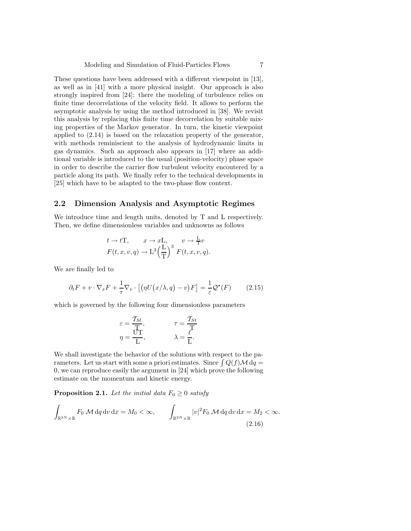These questions have been addressed with a different viewpoint in [13], as well as in [41] with a more physical insight. Our approach is also strongly inspired from [24]: there the modeling of turbulence relies on finite time decorrelations of the velocity field. It allows to perform the asymptotic analysis by using the method introduced in [38]. We revisit this analysis by replacing this finite time decorrelation by suitable mixing properties of the Markov generator. In turn, the kinetic viewpoint applied to (2.14) is based on the relaxation property of the generator, with methods reminiscient to the analysis of hydrodynamic limits in gas dynamics. Such an approach also appears in [17] where an additional variable is introduced to the usual (position-velocity) phase space in order to describe the carrier flow turbulent velocity encoutered by a particle along its path. We finally refer to the technical developments in [25] which have to be adapted to the two-phase flow context.

## 2.2 Dimension Analysis and Asymptotic Regimes

We introduce time and length units, denoted by T and L respectively. Then, we define dimensionless variables and unknowns as follows

$$
t \to t\mathcal{T}, \qquad x \to x\mathcal{L}, \qquad v \to \frac{\mathcal{L}}{\mathcal{T}}v
$$

$$
F(t, x, v, q) \to \mathcal{L}^3 \left(\frac{\mathcal{L}}{\mathcal{T}}\right)^3 \, F(t, x, v, q).
$$

We are finally led to

$$
\partial_t F + v \cdot \nabla_x F + \frac{1}{\tau} \nabla_v \cdot \left[ \left( \eta U(x/\lambda, q) - v \right) F \right] = \frac{1}{\varepsilon} \mathcal{Q}^\star(F) \tag{2.15}
$$

which is governed by the following four dimensionless parameters

$$
\varepsilon = \frac{T_M}{T}, \qquad \qquad \tau = \frac{T_{St}}{T}
$$

$$
\eta = \frac{UT}{L}, \qquad \qquad \lambda = \frac{\varepsilon}{L}.
$$

We shall investigate the behavior of the solutions with respect to the parameters. Let us start with some a priori estimates. Since  $\int Q(f) \mathcal{M} dq =$ 0, we can reproduce easily the argument in [24] which prove the following estimate on the momentum and kinetic energy.

**Proposition 2.1.** Let the initial data  $F_0 \geq 0$  satisfy

$$
\int_{\mathbb{R}^{2N}\times\mathbb{R}} F_0 \mathcal{M} \, \mathrm{d}q \, \mathrm{d}v \, \mathrm{d}x = M_0 < \infty, \qquad \int_{\mathbb{R}^{2N}\times\mathbb{R}} |v|^2 F_0 \mathcal{M} \, \mathrm{d}q \, \mathrm{d}v \, \mathrm{d}x = M_2 < \infty. \tag{2.16}
$$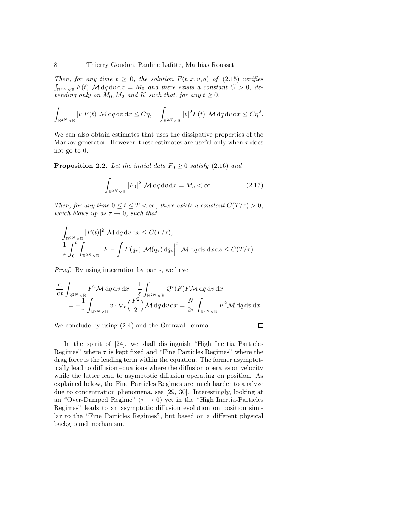Then, for any time  $t \geq 0$ , the solution  $F(t, x, v, q)$  of  $(2.15)$  verifies  $\int_{\mathbb{R}^{2N} \times \mathbb{R}} F(t)$  M dq dv dx =  $M_0$  and there exists a constant  $C > 0$ , depending only on  $M_0$ ,  $M_2$  and K such that, for any  $t \geq 0$ ,

$$
\int_{\mathbb{R}^{2N}\times\mathbb{R}}|v|F(t)\mathcal{M}\,dq\,dv\,dx\leq C\eta,\quad \int_{\mathbb{R}^{2N}\times\mathbb{R}}|v|^{2}F(t)\mathcal{M}\,dq\,dv\,dx\leq C\eta^{2}.
$$

We can also obtain estimates that uses the dissipative properties of the Markov generator. However, these estimates are useful only when  $\tau$  does not go to 0.

**Proposition 2.2.** Let the initial data  $F_0 \geq 0$  satisfy (2.16) and

$$
\int_{\mathbb{R}^{2N} \times \mathbb{R}} |F_0|^2 \, \mathcal{M} \, \mathrm{d}q \, \mathrm{d}v \, \mathrm{d}x = M_e < \infty. \tag{2.17}
$$

Then, for any time  $0 \le t \le T < \infty$ , there exists a constant  $C(T/\tau) > 0$ , which blows up as  $\tau \rightarrow 0$ , such that

$$
\int_{\mathbb{R}^{2N} \times \mathbb{R}} |F(t)|^2 \, M \, dq \, dv \, dx \le C(T/\tau),
$$
\n
$$
\frac{1}{\epsilon} \int_0^t \int_{\mathbb{R}^{2N} \times \mathbb{R}} \left| F - \int F(q_\star) \, \mathcal{M}(q_\star) \, dq_\star \right|^2 \, M \, dq \, dv \, dx \, ds \le C(T/\tau).
$$

Proof. By using integration by parts, we have

$$
\frac{\mathrm{d}}{\mathrm{d}t} \int_{\mathbb{R}^{2N} \times \mathbb{R}} F^2 \mathcal{M} \, \mathrm{d}q \, \mathrm{d}v \, \mathrm{d}x - \frac{1}{\varepsilon} \int_{\mathbb{R}^{2N} \times \mathbb{R}} \mathcal{Q}^{\star}(F) F \mathcal{M} \, \mathrm{d}q \, \mathrm{d}v \, \mathrm{d}x \n= -\frac{1}{\tau} \int_{\mathbb{R}^{2N} \times \mathbb{R}} v \cdot \nabla_v \left(\frac{F^2}{2}\right) \mathcal{M} \, \mathrm{d}q \, \mathrm{d}v \, \mathrm{d}x = \frac{N}{2\tau} \int_{\mathbb{R}^{2N} \times \mathbb{R}} F^2 \mathcal{M} \, \mathrm{d}q \, \mathrm{d}v \, \mathrm{d}x.
$$

We conclude by using (2.4) and the Gronwall lemma.

$$
\Box
$$

In the spirit of [24], we shall distinguish "High Inertia Particles Regimes" where  $\tau$  is kept fixed and "Fine Particles Regimes" where the drag force is the leading term within the equation. The former asymptotically lead to diffusion equations where the diffusion operates on velocity while the latter lead to asymptotic diffusion operating on position. As explained below, the Fine Particles Regimes are much harder to analyze due to concentration phenomena, see [29, 30]. Interestingly, looking at an "Over-Damped Regime"  $(\tau \to 0)$  yet in the "High Inertia-Particles" Regimes" leads to an asymptotic diffusion evolution on position similar to the "Fine Particles Regimes", but based on a different physical background mechanism.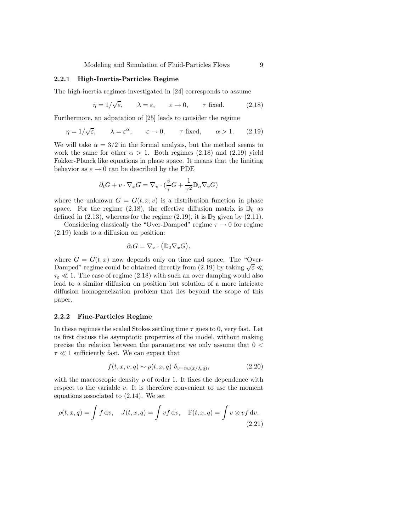Modeling and Simulation of Fluid-Particles Flows 9

#### 2.2.1 High-Inertia-Particles Regime

The high-inertia regimes investigated in [24] corresponds to assume

$$
\eta = 1/\sqrt{\varepsilon}, \qquad \lambda = \varepsilon, \qquad \varepsilon \to 0, \qquad \tau \text{ fixed.} \tag{2.18}
$$

Furthermore, an adpatation of [25] leads to consider the regime

$$
\eta = 1/\sqrt{\varepsilon}, \qquad \lambda = \varepsilon^{\alpha}, \qquad \varepsilon \to 0, \qquad \tau \text{ fixed}, \qquad \alpha > 1. \tag{2.19}
$$

We will take  $\alpha = 3/2$  in the formal analysis, but the method seems to work the same for other  $\alpha > 1$ . Both regimes (2.18) and (2.19) yield Fokker-Planck like equations in phase space. It means that the limiting behavior as  $\varepsilon \to 0$  can be described by the PDE

$$
\partial_t G + v \cdot \nabla_x G = \nabla_v \cdot \left(\frac{v}{\tau} G + \frac{1}{\tau^2} \mathbb{D}_n \nabla_v G\right)
$$

where the unknown  $G = G(t, x, v)$  is a distribution function in phase space. For the regime (2.18), the effective diffusion matrix is  $\mathbb{D}_0$  as defined in (2.13), whereas for the regime (2.19), it is  $\mathbb{D}_2$  given by (2.11).

Considering classically the "Over-Damped" regime  $\tau \to 0$  for regime (2.19) leads to a diffusion on position:

$$
\partial_t G = \nabla_x \cdot (\mathbb{D}_2 \nabla_x G),
$$

where  $G = G(t, x)$  now depends only on time and space. The "Over-Damped" regime could be obtained directly from (2.19) by taking  $\sqrt{\varepsilon}$  $\tau_{\varepsilon} \ll 1$ . The case of regime (2.18) with such an over damping would also lead to a similar diffusion on position but solution of a more intricate diffusion homogeneization problem that lies beyond the scope of this paper.

#### 2.2.2 Fine-Particles Regime

In these regimes the scaled Stokes settling time  $\tau$  goes to 0, very fast. Let us first discuss the asymptotic properties of the model, without making precise the relation between the parameters; we only assume that  $0 \le$  $\tau \ll 1$  sufficiently fast. We can expect that

$$
f(t, x, v, q) \sim \rho(t, x, q) \, \delta_{v = \eta u(x/\lambda, q)}, \tag{2.20}
$$

with the macroscopic density  $\rho$  of order 1. It fixes the dependence with respect to the variable  $v$ . It is therefore convenient to use the moment equations associated to (2.14). We set

$$
\rho(t, x, q) = \int f \, dv, \quad J(t, x, q) = \int v f \, dv, \quad \mathbb{P}(t, x, q) = \int v \otimes v f \, dv.
$$
\n(2.21)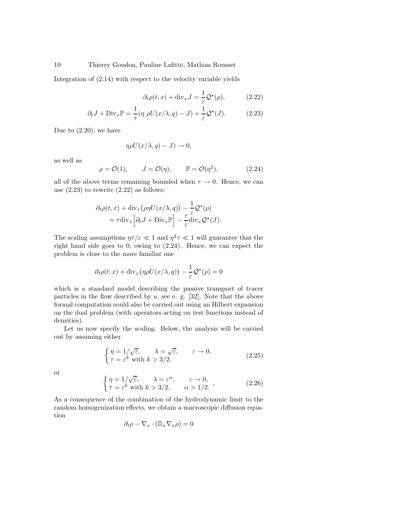Integration of (2.14) with respect to the velocity variable yields

$$
\partial_t \rho(t, x) + \text{div}_x J = \frac{1}{\varepsilon} \mathcal{Q}^*(\rho), \tag{2.22}
$$

$$
\partial_t J + \text{Div}_x \mathbb{P} = \frac{1}{\tau} (\eta \rho U(x/\lambda, q) - J) + \frac{1}{\varepsilon} \mathcal{Q}^\star(J). \tag{2.23}
$$

Due to (2.20), we have

$$
\eta \rho U(x/\lambda, q) - J) \to 0,
$$

as well as

$$
\rho = \mathcal{O}(1), \qquad J = \mathcal{O}(\eta), \qquad \mathbb{P} = \mathcal{O}(\eta^2), \tag{2.24}
$$

all of the above terms remaining bounded when  $\tau \to 0$ . Hence, we can use  $(2.23)$  to rewrite  $(2.22)$  as follows:

$$
\partial_t \rho(t, x) + \text{div}_x \big( \rho \eta U(x/\lambda, q) \big) - \frac{1}{\varepsilon} \mathcal{Q}^*(\rho)
$$
  
=  $\tau \text{div}_x \Big[ \partial_t J + \text{Div}_x \mathbb{P} \Big] - \frac{\tau}{\varepsilon} \text{div}_x \mathcal{Q}^*(J).$ 

The scaling assumptions  $\eta \tau / \varepsilon \ll 1$  and  $\eta^2 \tau \ll 1$  will guarantee that the right hand side goes to 0, owing to (2.24). Hence, we can expect the problem is close to the more familiar one

$$
\partial_t \rho(t, x) + \text{div}_x \big( \eta \rho U(x/\lambda, q) \big) - \frac{1}{\varepsilon} \mathcal{Q}^\star(\rho) = 0
$$

which is a standard model describing the passive transport of tracer particles in the flow described by  $u$ , see e. g. [32]. Note that the above formal computation could also be carried out using an Hilbert expansion on the dual problem (with operators acting on test functions instead of densities).

Let us now specify the scaling. Below, the analysis will be carried out by assuming either

$$
\begin{cases}\n\eta = 1/\sqrt{\varepsilon}, & \lambda = \sqrt{\varepsilon}, \quad \varepsilon \to 0, \\
\tau = \varepsilon^k \text{ with } k > 3/2.\n\end{cases}
$$
\n(2.25)

or

$$
\begin{cases} \eta = 1/\sqrt{\varepsilon}, & \lambda = \varepsilon^{\alpha}, \quad \varepsilon \to 0, \\ \tau = \varepsilon^k \text{ with } k > 3/2, & \alpha > 1/2. \end{cases}
$$
 (2.26)

As a consequence of the combination of the hydrodynamic limit to the random homogenization effects, we obtain a macroscopic diffusion equation

$$
\partial_t \rho - \nabla_x \cdot (\mathbb{D}_n \nabla_x \rho) = 0
$$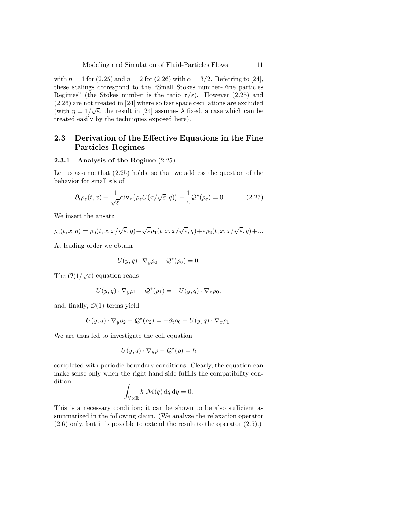with  $n = 1$  for (2.25) and  $n = 2$  for (2.26) with  $\alpha = 3/2$ . Referring to [24], these scalings correspond to the "Small Stokes number-Fine particles Regimes" (the Stokes number is the ratio  $\tau/\varepsilon$ ). However (2.25) and (2.26) are not treated in [24] where so fast space oscillations are excluded (with  $\eta = 1/\sqrt{\varepsilon}$ , the result in [24] assumes  $\lambda$  fixed, a case which can be treated easily by the techniques exposed here).

## 2.3 Derivation of the Effective Equations in the Fine Particles Regimes

#### 2.3.1 Analysis of the Regime (2.25)

Let us assume that (2.25) holds, so that we address the question of the behavior for small  $\varepsilon$ 's of

$$
\partial_t \rho_{\varepsilon}(t, x) + \frac{1}{\sqrt{\varepsilon}} \text{div}_x \big( \rho_{\varepsilon} U(x/\sqrt{\varepsilon}, q) \big) - \frac{1}{\varepsilon} \mathcal{Q}^*(\rho_{\varepsilon}) = 0. \tag{2.27}
$$

We insert the ansatz

$$
\rho_\varepsilon(t,x,q)=\rho_0(t,x,x/\sqrt{\varepsilon},q)+\sqrt{\varepsilon}\rho_1(t,x,x/\sqrt{\varepsilon},q)+\varepsilon\rho_2(t,x,x/\sqrt{\varepsilon},q)+...
$$

At leading order we obtain

$$
U(y, q) \cdot \nabla_y \rho_0 - \mathcal{Q}^*(\rho_0) = 0.
$$

The  $\mathcal{O}(1/\sqrt{\varepsilon})$  equation reads

$$
U(y,q) \cdot \nabla_y \rho_1 - \mathcal{Q}^*(\rho_1) = -U(y,q) \cdot \nabla_x \rho_0,
$$

and, finally,  $\mathcal{O}(1)$  terms yield

$$
U(y,q)\cdot\nabla_y\rho_2-\mathcal{Q}^\star(\rho_2)=-\partial_t\rho_0-U(y,q)\cdot\nabla_x\rho_1.
$$

We are thus led to investigate the cell equation

$$
U(y,q)\cdot\nabla_y\rho-\mathcal{Q}^\star(\rho)=h
$$

completed with periodic boundary conditions. Clearly, the equation can make sense only when the right hand side fulfills the compatibility condition

$$
\int_{\mathbb{Y}\times\mathbb{R}} h \mathcal{M}(q) \, dq \, dy = 0.
$$

This is a necessary condition; it can be shown to be also sufficient as summarized in the following claim. (We analyze the relaxation operator (2.6) only, but it is possible to extend the result to the operator (2.5).)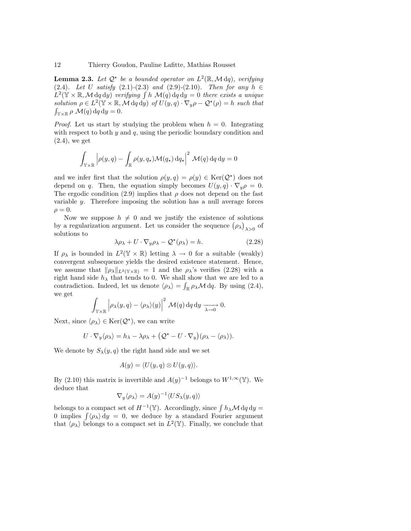**Lemma 2.3.** Let  $Q^*$  be a bounded operator on  $L^2(\mathbb{R}, \mathcal{M} \, dq)$ , verifying (2.4). Let U satisfy  $(2.1)-(2.3)$  and  $(2.9)-(2.10)$ . Then for any  $h \in$  $L^2(\mathbb{Y} \times \mathbb{R}, \mathcal{M} \, \mathrm{d}q \, \mathrm{d}y)$  verifying  $\int h \mathcal{M}(q) \, \mathrm{d}q \, \mathrm{d}y = 0$  there exists a unique solution  $\rho \in L^2(\mathbb{Y} \times \mathbb{R}, \mathcal{M} \, dq \, dy)$  of  $U(y, q) \cdot \nabla_y \rho - \mathcal{Q}^*(\rho) = h$  such that  $\int_{\mathbb{Y}\times\mathbb{R}} \rho \mathcal{M}(q) dq dy = 0.$ 

*Proof.* Let us start by studying the problem when  $h = 0$ . Integrating with respect to both  $y$  and  $q$ , using the periodic boundary condition and (2.4), we get

$$
\int_{\mathbb{Y}\times\mathbb{R}} \left| \rho(y,q) - \int_{\mathbb{R}} \rho(y,q_\star) \mathcal{M}(q_\star) \,dq_\star \right|^2 \, \mathcal{M}(q) \,dq \,dy = 0
$$

and we infer first that the solution  $\rho(y, q) = \rho(y) \in \text{Ker}(\mathcal{Q}^*)$  does not depend on q. Then, the equation simply becomes  $U(y, q) \cdot \nabla_y \rho = 0$ . The ergodic condition (2.9) implies that  $\rho$  does not depend on the fast variable  $\gamma$ . Therefore imposing the solution has a null average forces  $\rho = 0.$ 

Now we suppose  $h \neq 0$  and we justify the existence of solutions by a regularization argument. Let us consider the sequence  $(\rho_{\lambda})_{\lambda>0}$  of solutions to

$$
\lambda \rho_{\lambda} + U \cdot \nabla_y \rho_{\lambda} - \mathcal{Q}^{\star}(\rho_{\lambda}) = h. \tag{2.28}
$$

If  $\rho_{\lambda}$  is bounded in  $L^2(\mathbb{Y} \times \mathbb{R})$  letting  $\lambda \to 0$  for a suitable (weakly) convergent subsequence yields the desired existence statement. Hence, we assume that  $\|\rho_{\lambda}\|_{L^2(\mathbb{Y}\times\mathbb{R})} = 1$  and the  $\rho_{\lambda}$ 's verifies (2.28) with a right hand side  $h_{\lambda}$  that tends to 0. We shall show that we are led to a contradiction. Indeed, let us denote  $\langle \rho_{\lambda} \rangle = \int_{\mathbb{R}} \rho_{\lambda} \mathcal{M} dq$ . By using (2.4), we get

$$
\int_{\mathbb{Y}\times\mathbb{R}} \left|\rho_{\lambda}(y,q)-\langle\rho_{\lambda}\rangle(y)\right|^2 \, \mathcal{M}(q) \, \mathrm{d}q \, \mathrm{d}y \xrightarrow[\lambda\to 0]{} 0.
$$

Next, since  $\langle \rho_{\lambda} \rangle \in \text{Ker}(\mathcal{Q}^{\star}),$  we can write

$$
U\cdot\nabla_y\langle\rho_\lambda\rangle=h_\lambda-\lambda\rho_\lambda+\big(\mathcal{Q}^\star-U\cdot\nabla_y\big)(\rho_\lambda-\langle\rho_\lambda\rangle).
$$

We denote by  $S_{\lambda}(y, q)$  the right hand side and we set

$$
A(y) = \langle U(y, q) \otimes U(y, q) \rangle.
$$

By (2.10) this matrix is invertible and  $A(y)^{-1}$  belongs to  $W^{1,\infty}(\mathbb{Y})$ . We deduce that

$$
\nabla_y \langle \rho_\lambda \rangle = A(y)^{-1} \langle US_\lambda(y,q) \rangle
$$

belongs to a compact set of  $H^{-1}(\mathbb{Y})$ . Accordingly, since  $\int h_{\lambda} \mathcal{M} d q d y =$ 0 implies  $\int \langle \rho_{\lambda} \rangle dy = 0$ , we deduce by a standard Fourier argument that  $\langle \rho_{\lambda} \rangle$  belongs to a compact set in  $L^2(\mathbb{Y})$ . Finally, we conclude that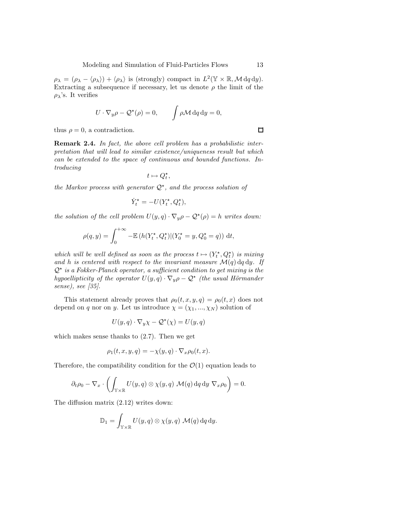$\rho_{\lambda} = (\rho_{\lambda} - \langle \rho_{\lambda} \rangle) + \langle \rho_{\lambda} \rangle$  is (strongly) compact in  $L^2(\mathbb{Y} \times \mathbb{R}, \mathcal{M} \, dq \, dy)$ . Extracting a subsequence if necessary, let us denote  $\rho$  the limit of the  $\rho_{\lambda}$ 's. It verifies

$$
U \cdot \nabla_y \rho - \mathcal{Q}^*(\rho) = 0, \qquad \int \rho \mathcal{M} \, dq \, dy = 0,
$$

thus  $\rho = 0$ , a contradiction.

Remark 2.4. In fact, the above cell problem has a probabilistic interpretation that will lead to similar existence/uniqueness result but which can be extended to the space of continuous and bounded functions. Introducing

$$
t\mapsto Q_t^\star,
$$

the Markov process with generator  $\mathcal{Q}^*$ , and the process solution of

$$
\dot{Y}_t^{\star} = -U(Y_t^{\star}, Q_t^{\star}),
$$

the solution of the cell problem  $U(y, q) \cdot \nabla_y \rho - \mathcal{Q}^*(\rho) = h$  writes down:

$$
\rho(q, y) = \int_0^{+\infty} -\mathbb{E}\left(h(Y_t^{\star}, Q_t^{\star})|(Y_0^{\star} = y, Q_0^{\star} = q)\right) dt,
$$

which will be well defined as soon as the process  $t \mapsto (Y_t^{\star}, Q_t^{\star})$  is mixing and h is centered with respect to the invariant measure  $\mathcal{M}(q)$  dq dy. If  $Q^{\star}$  is a Fokker-Planck operator, a sufficient condition to get mixing is the hypoellipticity of the operator  $U(y, q) \cdot \nabla_y \rho - \mathcal{Q}^*$  (the usual Hörmander sense), see [35].

This statement already proves that  $\rho_0(t, x, y, q) = \rho_0(t, x)$  does not depend on q nor on y. Let us introduce  $\chi = (\chi_1, ..., \chi_N)$  solution of

$$
U(y,q) \cdot \nabla_y \chi - \mathcal{Q}^\star(\chi) = U(y,q)
$$

which makes sense thanks to (2.7). Then we get

$$
\rho_1(t, x, y, q) = -\chi(y, q) \cdot \nabla_x \rho_0(t, x).
$$

Therefore, the compatibility condition for the  $\mathcal{O}(1)$  equation leads to

$$
\partial_t \rho_0 - \nabla_x \cdot \left( \int_{\mathbb{Y} \times \mathbb{R}} U(y, q) \otimes \chi(y, q) \mathcal{M}(q) \, dq \, dy \, \nabla_x \rho_0 \right) = 0.
$$

The diffusion matrix (2.12) writes down:

$$
\mathbb{D}_1 = \int_{\mathbb{Y} \times \mathbb{R}} U(y, q) \otimes \chi(y, q) \mathcal{M}(q) dq dy.
$$

 $\Box$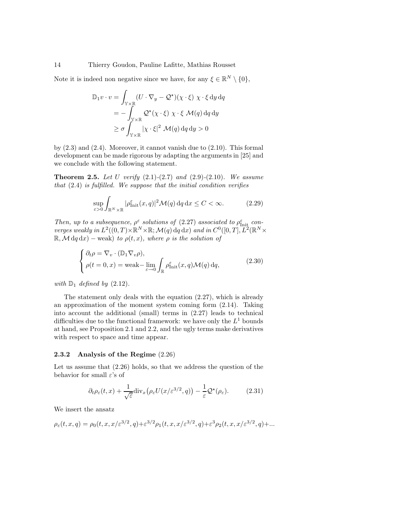Note it is indeed non negative since we have, for any  $\xi \in \mathbb{R}^N \setminus \{0\},$ 

$$
\mathbb{D}_1 v \cdot v = \int_{\mathbb{Y} \times \mathbb{R}} (U \cdot \nabla_y - \mathcal{Q}^*) (\chi \cdot \xi) \chi \cdot \xi \, dy \, dq
$$
  
= 
$$
- \int_{\mathbb{Y} \times \mathbb{R}} \mathcal{Q}^* (\chi \cdot \xi) \chi \cdot \xi \, \mathcal{M}(q) \, dq \, dy
$$
  

$$
\geq \sigma \int_{\mathbb{Y} \times \mathbb{R}} |\chi \cdot \xi|^2 \, \mathcal{M}(q) \, dq \, dy > 0
$$

by  $(2.3)$  and  $(2.4)$ . Moreover, it cannot vanish due to  $(2.10)$ . This formal development can be made rigorous by adapting the arguments in [25] and we conclude with the following statement.

**Theorem 2.5.** Let U verify  $(2.1)-(2.7)$  and  $(2.9)-(2.10)$ . We assume that  $(2.4)$  is fulfilled. We suppose that the initial condition verifies

$$
\sup_{\varepsilon>0} \int_{\mathbb{R}^N \times \mathbb{R}} |\rho^{\varepsilon}_{\text{Init}}(x, q)|^2 \mathcal{M}(q) \,dq \,dx \le C < \infty. \tag{2.29}
$$

Then, up to a subsequence,  $\rho^{\varepsilon}$  solutions of (2.27) associated to  $\rho_{\text{Init}}^{\varepsilon}$  converges weakly in  $L^2((0,T)\times \mathbb{R}^N\times \mathbb{R}; \mathcal{M}(q)\,dq\,dx)$  and in  $C^0([0,T], L^2(\mathbb{R}^N\times$  $\mathbb{R}, \mathcal{M} \, dq \, dx$  – weak) to  $\rho(t, x)$ , where  $\rho$  is the solution of

$$
\begin{cases} \partial_t \rho = \nabla_v \cdot (\mathbb{D}_1 \nabla_v \rho), \\ \rho(t = 0, x) = \text{weak} - \lim_{\varepsilon \to 0} \int_{\mathbb{R}} \rho_{\text{Init}}^{\varepsilon}(x, q) \mathcal{M}(q) \, dq, \end{cases} \tag{2.30}
$$

with  $\mathbb{D}_1$  defined by (2.12).

The statement only deals with the equation (2.27), which is already an approximation of the moment system coming form (2.14). Taking into account the additional (small) terms in (2.27) leads to technical difficulties due to the functional framework: we have only the  $L^1$  bounds at hand, see Proposition 2.1 and 2.2, and the ugly terms make derivatives with respect to space and time appear.

## 2.3.2 Analysis of the Regime (2.26)

Let us assume that (2.26) holds, so that we address the question of the behavior for small  $\varepsilon$ 's of

$$
\partial_t \rho_{\varepsilon}(t,x) + \frac{1}{\sqrt{\varepsilon}} \text{div}_x \big( \rho_{\varepsilon} U(x/\varepsilon^{3/2}, q) \big) - \frac{1}{\varepsilon} \mathcal{Q}^{\star}(\rho_{\varepsilon}). \tag{2.31}
$$

We insert the ansatz

$$
\rho_{\varepsilon}(t,x,q) = \rho_0(t,x,x/\varepsilon^{3/2},q) + \varepsilon^{3/2}\rho_1(t,x,x/\varepsilon^{3/2},q) + \varepsilon^3\rho_2(t,x,x/\varepsilon^{3/2},q) + \dots
$$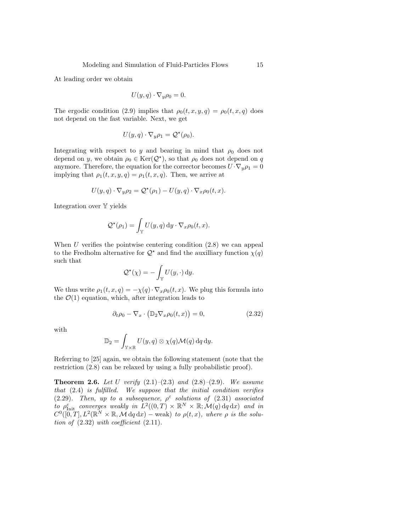At leading order we obtain

$$
U(y,q)\cdot\nabla_y\rho_0=0.
$$

The ergodic condition (2.9) implies that  $\rho_0(t, x, y, q) = \rho_0(t, x, q)$  does not depend on the fast variable. Next, we get

$$
U(y,q)\cdot\nabla_y\rho_1=\mathcal{Q}^\star(\rho_0).
$$

Integrating with respect to y and bearing in mind that  $\rho_0$  does not depend on y, we obtain  $\rho_0 \in \text{Ker}(\mathcal{Q}^*)$ , so that  $\rho_0$  does not depend on q anymore. Therefore, the equation for the corrector becomes  $U \cdot \nabla_{\psi} \rho_1 = 0$ implying that  $\rho_1(t, x, y, q) = \rho_1(t, x, q)$ . Then, we arrive at

$$
U(y,q) \cdot \nabla_y \rho_2 = \mathcal{Q}^*(\rho_1) - U(y,q) \cdot \nabla_x \rho_0(t,x).
$$

Integration over Y yields

$$
\mathcal{Q}^*(\rho_1) = \int_{\mathbb{Y}} U(y, q) \, \mathrm{d}y \cdot \nabla_x \rho_0(t, x).
$$

When  $U$  verifies the pointwise centering condition  $(2.8)$  we can appeal to the Fredholm alternative for  $\mathcal{Q}^*$  and find the auxilliary function  $\chi(q)$ such that

$$
\mathcal{Q}^\star(\chi) = -\int_{\mathbb{Y}} U(y, \cdot) \, \mathrm{d}y.
$$

We thus write  $\rho_1(t, x, q) = -\chi(q) \cdot \nabla_x \rho_0(t, x)$ . We plug this formula into the  $\mathcal{O}(1)$  equation, which, after integration leads to

$$
\partial_t \rho_0 - \nabla_x \cdot \left( \mathbb{D}_2 \nabla_x \rho_0(t, x) \right) = 0, \tag{2.32}
$$

with

$$
\mathbb{D}_2=\int_{\mathbb{Y}\times\mathbb{R}}U(y,q)\otimes \chi(q)\mathcal{M}(q)\,\mathrm{d} q\,\mathrm{d} y.
$$

Referring to [25] again, we obtain the following statement (note that the restriction (2.8) can be relaxed by using a fully probabilistic proof).

**Theorem 2.6.** Let U verify  $(2.1)$ – $(2.3)$  and  $(2.8)$ – $(2.9)$ . We assume that  $(2.4)$  is fulfilled. We suppose that the initial condition verifies (2.29). Then, up to a subsequence,  $\rho^{\varepsilon}$  solutions of (2.31) associated to  $\rho_{\text{Init}}^{\varepsilon}$  converges weakly in  $L^2((0,T) \times \mathbb{R}^N \times \mathbb{R}; \mathcal{M}(q) \,dq \,dx)$  and in  $C^0([0,T], L^2(\mathbb{R}^N \times \mathbb{R}, \mathcal{M} \,dq \,dx)$  – weak) to  $\rho(t,x)$ , where  $\rho$  is the solution of  $(2.32)$  with coefficient  $(2.11)$ .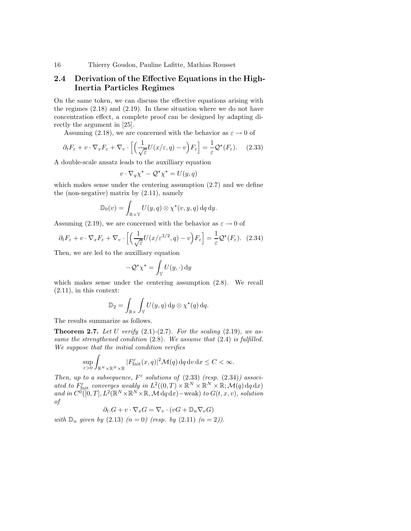## 2.4 Derivation of the Effective Equations in the High-Inertia Particles Regimes

On the same token, we can discuss the effective equations arising with the regimes (2.18) and (2.19). In these situation where we do not have concentration effect, a complete proof can be designed by adapting directly the argument in [25].

Assuming (2.18), we are concerned with the behavior as  $\varepsilon \to 0$  of

$$
\partial_t F_{\varepsilon} + v \cdot \nabla_x F_{\varepsilon} + \nabla_v \cdot \left[ \left( \frac{1}{\sqrt{\varepsilon}} U(x/\varepsilon, q) - v \right) F_{\varepsilon} \right] = \frac{1}{\varepsilon} \mathcal{Q}^{\star}(F_{\varepsilon}). \tag{2.33}
$$

A double-scale ansatz leads to the auxilliary equation

$$
v \cdot \nabla_y \chi^\star - \mathcal{Q}^\star \chi^\star = U(y, q)
$$

which makes sense under the centering assumption (2.7) and we define the (non-negative) matrix by (2.11), namely

$$
\mathbb{D}_0(v) = \int_{\mathbb{R} \times \mathbb{Y}} U(y, q) \otimes \chi^*(v, y, q) \, dq \, dy.
$$

Assuming (2.19), we are concerned with the behavior as  $\varepsilon \to 0$  of

$$
\partial_t F_{\varepsilon} + v \cdot \nabla_x F_{\varepsilon} + \nabla_v \cdot \left[ \left( \frac{1}{\sqrt{\varepsilon}} U(x/\varepsilon^{3/2}, q) - v \right) F_{\varepsilon} \right] = \frac{1}{\varepsilon} \mathcal{Q}^*(F_{\varepsilon}). \tag{2.34}
$$

Then, we are led to the auxilliary equation

$$
-\mathcal{Q}^{\star}\chi^{\star} = \int_{\mathbb{Y}} U(y, \cdot) \, \mathrm{d}y
$$

which makes sense under the centering assumption (2.8). We recall (2.11), in this context:

$$
\mathbb{D}_2 = \int_{\mathbb{R} \times} \int_{\mathbb{Y}} U(y, q) \, dy \otimes \chi^*(q) \, dq.
$$

The results summarize as follows.

**Theorem 2.7.** Let U verify  $(2.1)-(2.7)$ . For the scaling  $(2.19)$ , we assume the strengthened condition  $(2.8)$ . We assume that  $(2.4)$  is fulfilled. We suppose that the initial condition verifies

$$
\sup_{\varepsilon>0}\int_{\mathbb{R}^N\times\mathbb{R}^N\times\mathbb{R}}|F_{\rm{Init}}^{\varepsilon}(x,q)|^2\mathcal{M}(q)\,\mathrm{d}q\,\mathrm{d}v\,\mathrm{d}x\leq C<\infty.
$$

Then, up to a subsequence,  $F^{\varepsilon}$  solutions of (2.33) (resp. (2.34)) associated to  $F_{\text{Init}}^{\varepsilon}$  converges weakly in  $L^2((0,T)\times \mathbb{R}^N\times \mathbb{R}^N\times \mathbb{R};\mathcal{M}(q)\,dq\,dx)$ and in  $C^0([0,T], L^2(\mathbb{R}^N \times \mathbb{R}^N \times \mathbb{R}, \mathcal{M} \, dq \, dx)$  – weak) to  $G(t, x, v)$ , solution of

$$
\partial_t.G + v\cdot\nabla_x G = \nabla_v\cdot(vG + \mathbb{D}_n\nabla_v G)
$$

with  $\mathbb{D}_n$  given by (2.13)  $(n = 0)$  (resp. by (2.11)  $(n = 2)$ ).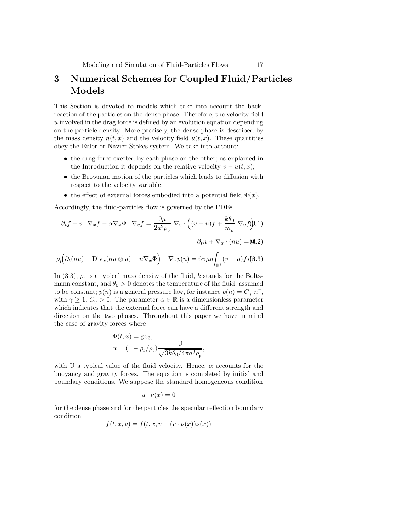# 3 Numerical Schemes for Coupled Fluid/Particles Models

This Section is devoted to models which take into account the backreaction of the particles on the dense phase. Therefore, the velocity field  $u$  involved in the drag force is defined by an evolution equation depending on the particle density. More precisely, the dense phase is described by the mass density  $n(t, x)$  and the velocity field  $u(t, x)$ . These quantities obey the Euler or Navier-Stokes system. We take into account:

- the drag force exerted by each phase on the other; as explained in the Introduction it depends on the relative velocity  $v - u(t, x)$ ;
- the Brownian motion of the particles which leads to diffusion with respect to the velocity variable;
- the effect of external forces embodied into a potential field  $\Phi(x)$ .

Accordingly, the fluid-particles flow is governed by the PDEs

$$
\partial_t f + v \cdot \nabla_x f - \alpha \nabla_x \Phi \cdot \nabla_v f = \frac{9\mu}{2a^2 \rho_{\rm p}} \nabla_v \cdot \left( (v - u)f + \frac{k\theta_0}{m_{\rm p}} \nabla_v f(\hat{\beta}, 1) \right)
$$
  

$$
\partial_t n + \nabla_x \cdot (nu) = (\mathbf{0}, 2)
$$
  

$$
\rho_{\rm f} \left( \partial_t (nu) + \text{Div}_x (nu \otimes u) + n \nabla_x \Phi \right) + \nabla_x p(n) = 6\pi \mu a \int_{\mathbb{R}^3} (v - u)f(\hat{\beta}, 3)
$$

In (3.3), 
$$
\rho_t
$$
 is a typical mass density of the fluid, k stands for the Boltzmann constant, and  $\theta_0 > 0$  denotes the temperature of the fluid, assumed to be constant;  $p(n)$  is a general pressure law, for instance  $p(n) = C_\gamma n^\gamma$ , with  $\gamma \ge 1$ ,  $C_\gamma > 0$ . The parameter  $\alpha \in \mathbb{R}$  is a dimensionless parameter which indicates that the external force can have a different strength and direction on the two phases. Throughout this paper we have in mind the case of gravity forces where

$$
\Phi(t, x) = \mathbf{g}x_3,
$$
  
\n
$$
\alpha = (1 - \rho_f/\rho_f) \frac{\mathbf{U}}{\sqrt{3k\theta_0/4\pi a^3 \rho_p}},
$$

with U a typical value of the fluid velocity. Hence,  $\alpha$  accounts for the buoyancy and gravity forces. The equation is completed by initial and boundary conditions. We suppose the standard homogeneous condition

$$
u \cdot \nu(x) = 0
$$

for the dense phase and for the particles the specular reflection boundary condition

$$
f(t, x, v) = f(t, x, v - (v \cdot \nu(x))\nu(x))
$$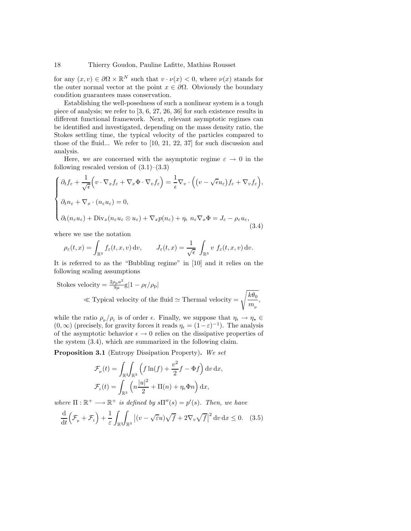for any  $(x, v) \in \partial\Omega \times \mathbb{R}^N$  such that  $v \cdot \nu(x) < 0$ , where  $\nu(x)$  stands for the outer normal vector at the point  $x \in \partial \Omega$ . Obviously the boundary condition guarantees mass conservation.

Establishing the well-posedness of such a nonlinear system is a tough piece of analysis; we refer to [3, 6, 27, 26, 36] for such existence results in different functional framework. Next, relevant asymptotic regimes can be identified and investigated, depending on the mass density ratio, the Stokes settling time, the typical velocity of the particles compared to those of the fluid... We refer to [10, 21, 22, 37] for such discussion and analysis.

Here, we are concerned with the asymptotic regime  $\varepsilon \to 0$  in the following rescaled version of  $(3.1)$ – $(3.3)$ 

$$
\begin{cases} \partial_t f_{\varepsilon} + \frac{1}{\sqrt{\epsilon}} \Big( v \cdot \nabla_x f_{\varepsilon} + \nabla_x \Phi \cdot \nabla_v f_{\varepsilon} \Big) = \frac{1}{\epsilon} \nabla_v \cdot \Big( \big( v - \sqrt{\epsilon} u_{\varepsilon} \big) f_{\varepsilon} + \nabla_v f_{\varepsilon} \Big), \\ \partial_t n_{\varepsilon} + \nabla_x \cdot (n_{\varepsilon} u_{\varepsilon}) = 0, \\ \partial_t (n_{\varepsilon} u_{\varepsilon}) + \text{Div}_x (n_{\varepsilon} u_{\varepsilon} \otimes u_{\varepsilon}) + \nabla_x p(n_{\varepsilon}) + \eta_{\varepsilon} n_{\varepsilon} \nabla_x \Phi = J_{\varepsilon} - \rho_{\varepsilon} u_{\varepsilon}, \end{cases} \tag{3.4}
$$

where we use the notation

$$
\rho_{\varepsilon}(t,x) = \int_{\mathbb{R}^3} f_{\varepsilon}(t,x,v) \, \mathrm{d}v, \qquad J_{\varepsilon}(t,x) = \frac{1}{\sqrt{\epsilon}} \int_{\mathbb{R}^3} v \, f_{\varepsilon}(t,x,v) \, \mathrm{d}v.
$$

It is referred to as the "Bubbling regime" in [10] and it relies on the following scaling assumptions

Stokes velocity = 
$$
\frac{2\rho_{\rm p}a^2}{9\mu}g|1 - \rho_{\rm f}/\rho_{\rm p}|
$$
  
\n $\ll$  Typical velocity of the fluid  $\simeq$  Thermal velocity =  $\sqrt{\frac{k\theta_0}{m_{\rm p}}}$ ,

while the ratio  $\rho_{p}/\rho_{f}$  is of order  $\epsilon$ . Finally, we suppose that  $\eta_{\epsilon} \to \eta_{\star} \in$  $(0, \infty)$  (precisely, for gravity forces it reads  $\eta_{\epsilon} = (1 - \epsilon)^{-1}$ ). The analysis of the asymptotic behavior  $\epsilon \to 0$  relies on the dissipative properties of the system (3.4), which are summarized in the following claim.

Proposition 3.1 (Entropy Dissipation Property). We set

$$
\mathcal{F}_{p}(t) = \int_{\mathbb{R}^{3}} \int_{\mathbb{R}^{3}} \left( f \ln(f) + \frac{v^{2}}{2} f - \Phi f \right) dv dx,
$$
  

$$
\mathcal{F}_{f}(t) = \int_{\mathbb{R}^{3}} \left( n \frac{|u|^{2}}{2} + \Pi(n) + \eta_{\epsilon} \Phi n \right) dx,
$$

where  $\Pi : \mathbb{R}^+ \longrightarrow \mathbb{R}^+$  is defined by  $s\Pi''(s) = p'(s)$ . Then, we have

$$
\frac{\mathrm{d}}{\mathrm{d}t}\left(\mathcal{F}_{\mathrm{p}}+\mathcal{F}_{\mathrm{f}}\right)+\frac{1}{\varepsilon}\int_{\mathbb{R}^{3}}\int_{\mathbb{R}^{3}}\left|\left(v-\sqrt{\varepsilon}u\right)\sqrt{f}+2\nabla_{v}\sqrt{f}\right|^{2}\mathrm{d}v\,\mathrm{d}x\leq0.\quad(3.5)
$$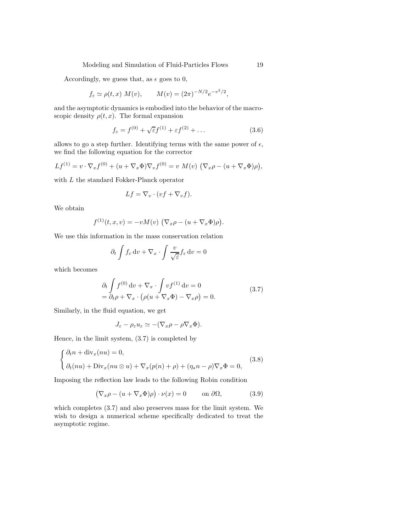Modeling and Simulation of Fluid-Particles Flows 19

Accordingly, we guess that, as  $\epsilon$  goes to 0,

$$
f_{\varepsilon} \simeq \rho(t, x) M(v), \qquad M(v) = (2\pi)^{-N/2} e^{-v^2/2},
$$

and the asymptotic dynamics is embodied into the behavior of the macroscopic density  $\rho(t, x)$ . The formal expansion

$$
f_{\varepsilon} = f^{(0)} + \sqrt{\varepsilon} f^{(1)} + \varepsilon f^{(2)} + \dots \tag{3.6}
$$

allows to go a step further. Identifying terms with the same power of  $\epsilon$ , we find the following equation for the corrector

$$
Lf^{(1)} = v \cdot \nabla_x f^{(0)} + (u + \nabla_x \Phi) \nabla_v f^{(0)} = v M(v) (\nabla_x \rho - (u + \nabla_x \Phi) \rho),
$$

with L the standard Fokker-Planck operator

$$
Lf = \nabla_v \cdot (vf + \nabla_v f).
$$

We obtain

$$
f^{(1)}(t, x, v) = -vM(v) \left( \nabla_x \rho - (u + \nabla_x \Phi) \rho \right).
$$

We use this information in the mass conservation relation

$$
\partial_t \int f_\varepsilon \, \mathrm{d}v + \nabla_x \cdot \int \frac{v}{\sqrt{\varepsilon}} f_\varepsilon \, \mathrm{d}v = 0
$$

which becomes

$$
\partial_t \int f^{(0)} \, dv + \nabla_x \cdot \int v f^{(1)} \, dv = 0
$$
  
=  $\partial_t \rho + \nabla_x \cdot (\rho (u + \nabla_x \Phi) - \nabla_x \rho) = 0.$  (3.7)

Similarly, in the fluid equation, we get

$$
J_{\varepsilon} - \rho_{\varepsilon} u_{\varepsilon} \simeq -(\nabla_x \rho - \rho \nabla_x \Phi).
$$

Hence, in the limit system, (3.7) is completed by

$$
\begin{cases} \partial_t n + \text{div}_x(nu) = 0, \\ \partial_t(nu) + \text{Div}_x(nu \otimes u) + \nabla_x(p(n) + \rho) + (\eta_\star n - \rho) \nabla_x \Phi = 0, \end{cases}
$$
(3.8)

Imposing the reflection law leads to the following Robin condition

$$
(\nabla_x \rho - (u + \nabla_x \Phi)\rho) \cdot \nu(x) = 0 \quad \text{on } \partial\Omega,
$$
 (3.9)

which completes (3.7) and also preserves mass for the limit system. We wish to design a numerical scheme specifically dedicated to treat the asymptotic regime.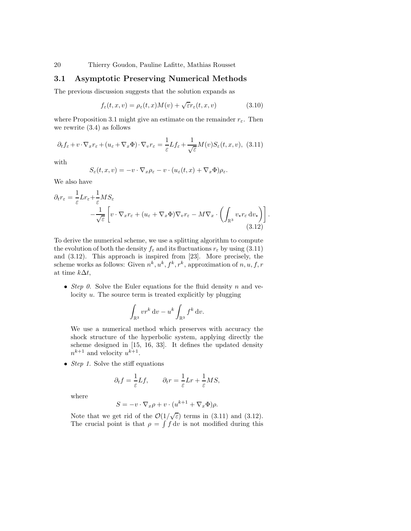# 3.1 Asymptotic Preserving Numerical Methods

The previous discussion suggests that the solution expands as

$$
f_{\varepsilon}(t, x, v) = \rho_{\varepsilon}(t, x)M(v) + \sqrt{\varepsilon}r_{\varepsilon}(t, x, v)
$$
\n(3.10)

where Proposition 3.1 might give an estimate on the remainder  $r_{\varepsilon}$ . Then we rewrite (3.4) as follows

$$
\partial_t f_{\varepsilon} + v \cdot \nabla_x r_{\varepsilon} + (u_{\varepsilon} + \nabla_x \Phi) \cdot \nabla_v r_{\varepsilon} = \frac{1}{\varepsilon} L f_{\varepsilon} + \frac{1}{\sqrt{\varepsilon}} M(v) S_{\varepsilon}(t, x, v), \tag{3.11}
$$

with

$$
S_{\varepsilon}(t,x,v) = -v \cdot \nabla_x \rho_{\varepsilon} - v \cdot (u_{\varepsilon}(t,x) + \nabla_x \Phi) \rho_{\varepsilon}.
$$

We also have

$$
\partial_t r_{\varepsilon} = \frac{1}{\varepsilon} L r_{\varepsilon} + \frac{1}{\varepsilon} M S_{\varepsilon} \n- \frac{1}{\sqrt{\varepsilon}} \left[ v \cdot \nabla_x r_{\varepsilon} + (u_{\varepsilon} + \nabla_x \Phi) \nabla_v r_{\varepsilon} - M \nabla_x \cdot \left( \int_{\mathbb{R}^3} v_{\star} r_{\varepsilon} \, dv_{\star} \right) \right].
$$
\n(3.12)

To derive the numerical scheme, we use a splitting algorithm to compute the evolution of both the density  $f_{\varepsilon}$  and its fluctuations  $r_{\varepsilon}$  by using (3.11) and (3.12). This approach is inspired from [23]. More precisely, the scheme works as follows: Given  $n^k, u^k, f^k, r^k$ , approximation of  $n, u, f, r$ at time  $k\Delta t$ ,

• Step 0. Solve the Euler equations for the fluid density n and velocity u. The source term is treated explicitly by plugging

$$
\int_{\mathbb{R}^3} v r^k \, \mathrm{d}v - u^k \int_{\mathbb{R}^3} f^k \, \mathrm{d}v.
$$

We use a numerical method which preserves with accuracy the shock structure of the hyperbolic system, applying directly the scheme designed in [15, 16, 33]. It defines the updated density  $n^{k+1}$  and velocity  $u^{k+1}$ .

• *Step 1*. Solve the stiff equations

$$
\partial_t f = \frac{1}{\varepsilon} Lf, \qquad \partial_t r = \frac{1}{\varepsilon} Lr + \frac{1}{\varepsilon} MS,
$$

where

$$
S = -v \cdot \nabla_x \rho + v \cdot (u^{k+1} + \nabla_x \Phi)\rho.
$$

Note that we get rid of the  $\mathcal{O}(1/\sqrt{\varepsilon})$  terms in (3.11) and (3.12). The crucial point is that  $\rho = \int f \, dv$  is not modified during this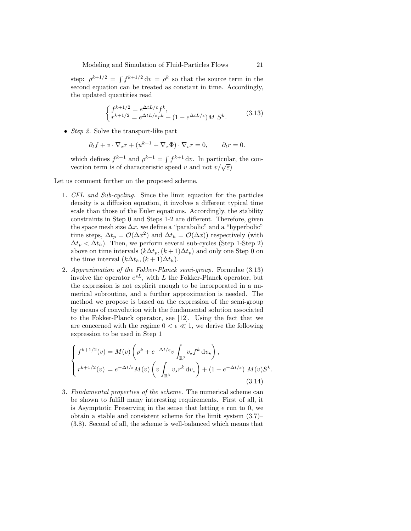step:  $\rho^{k+1/2} = \int f^{k+1/2} dv = \rho^k$  so that the source term in the second equation can be treated as constant in time. Accordingly, the updated quantities read

$$
\begin{cases} f^{k+1/2} = e^{\Delta t L/\varepsilon} f^k, \\ r^{k+1/2} = e^{\Delta t L/\varepsilon} r^k + (1 - e^{\Delta t L/\varepsilon}) M S^k. \end{cases} \tag{3.13}
$$

• *Step 2*. Solve the transport-like part

$$
\partial_t f + v \cdot \nabla_x r + (u^{k+1} + \nabla_x \Phi) \cdot \nabla_v r = 0, \qquad \partial_t r = 0.
$$

which defines  $f^{k+1}$  and  $\rho^{k+1} = \int f^{k+1} dv$ . In particular, the convection term is of characteristic speed v and not  $v/\sqrt{\varepsilon}$ )

Let us comment further on the proposed scheme.

- 1. CFL and Sub-cycling. Since the limit equation for the particles density is a diffusion equation, it involves a different typical time scale than those of the Euler equations. Accordingly, the stability constraints in Step 0 and Steps 1-2 are different. Therefore, given the space mesh size  $\Delta x$ , we define a "parabolic" and a "hyperbolic" time steps,  $\Delta t_p = \mathcal{O}(\Delta x^2)$  and  $\Delta t_h = \mathcal{O}(\Delta x)$ ) respectively (with  $\Delta t_p < \Delta t_h$ ). Then, we perform several sub-cycles (Step 1-Step 2) above on time intervals  $(k\Delta t_p, (k+1)\Delta t_p)$  and only one Step 0 on the time interval  $(k\Delta t_h, (k+1)\Delta t_h)$ .
- 2. Approximation of the Fokker-Planck semi-group. Formulae (3.13) involve the operator  $e^{sL}$ , with L the Fokker-Planck operator, but the expression is not explicit enough to be incorporated in a numerical subroutine, and a further approximation is needed. The method we propose is based on the expression of the semi-group by means of convolution with the fundamental solution associated to the Fokker-Planck operator, see [12]. Using the fact that we are concerned with the regime  $0 < \epsilon \ll 1$ , we derive the following expression to be used in Step 1

$$
\begin{cases}\nf^{k+1/2}(v) = M(v) \left( \rho^k + e^{-\Delta t/\varepsilon} v \int_{\mathbb{R}^3} v_\star f^k dv_\star \right), \\
r^{k+1/2}(v) = e^{-\Delta t/\varepsilon} M(v) \left( v \int_{\mathbb{R}^3} v_\star r^k dv_\star \right) + (1 - e^{-\Delta t/\varepsilon}) M(v) S^k.\n\end{cases}
$$
\n(3.14)

3. Fundamental properties of the scheme. The numerical scheme can be shown to fulfill many interesting requirements. First of all, it is Asymptotic Preserving in the sense that letting  $\epsilon$  run to 0, we obtain a stable and consistent scheme for the limit system (3.7)– (3.8). Second of all, the scheme is well-balanced which means that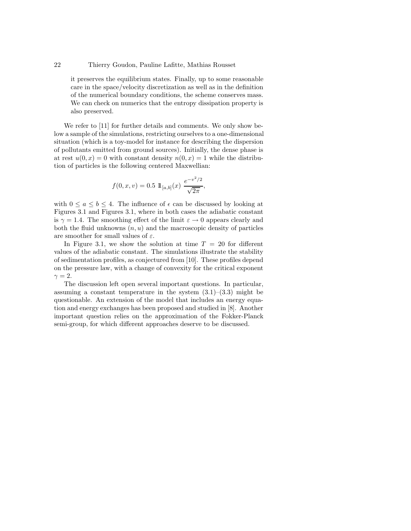it preserves the equilibrium states. Finally, up to some reasonable care in the space/velocity discretization as well as in the definition of the numerical boundary conditions, the scheme conserves mass. We can check on numerics that the entropy dissipation property is also preserved.

We refer to [11] for further details and comments. We only show below a sample of the simulations, restricting ourselves to a one-dimensional situation (which is a toy-model for instance for describing the dispersion of pollutants emitted from ground sources). Initially, the dense phase is at rest  $u(0, x) = 0$  with constant density  $n(0, x) = 1$  while the distribution of particles is the following centered Maxwellian:

$$
f(0, x, v) = 0.5 \mathbb{1}_{[a,b]}(x) \frac{e^{-v^2/2}}{\sqrt{2\pi}},
$$

with  $0 \le a \le b \le 4$ . The influence of  $\epsilon$  can be discussed by looking at Figures 3.1 and Figures 3.1, where in both cases the adiabatic constant is  $\gamma = 1.4$ . The smoothing effect of the limit  $\varepsilon \to 0$  appears clearly and both the fluid unknowns  $(n, u)$  and the macroscopic density of particles are smoother for small values of  $\varepsilon.$ 

In Figure 3.1, we show the solution at time  $T = 20$  for different values of the adiabatic constant. The simulations illustrate the stability of sedimentation profiles, as conjectured from [10]. These profiles depend on the pressure law, with a change of convexity for the critical exponent  $\gamma = 2.$ 

The discussion left open several important questions. In particular, assuming a constant temperature in the system  $(3.1)$ – $(3.3)$  might be questionable. An extension of the model that includes an energy equation and energy exchanges has been proposed and studied in [8]. Another important question relies on the approximation of the Fokker-Planck semi-group, for which different approaches deserve to be discussed.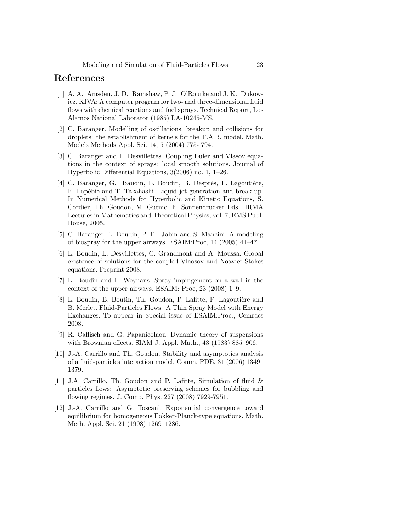# References

- [1] A. A. Amsden, J. D. Ramshaw, P. J. O'Rourke and J. K. Dukowicz. KIVA: A computer program for two- and three-dimensional fluid flows with chemical reactions and fuel sprays. Technical Report, Los Alamos National Laborator (1985) LA-10245-MS.
- [2] C. Baranger. Modelling of oscillations, breakup and collisions for droplets: the establishment of kernels for the T.A.B. model. Math. Models Methods Appl. Sci. 14, 5 (2004) 775- 794.
- [3] C. Baranger and L. Desvillettes. Coupling Euler and Vlasov equations in the context of sprays: local smooth solutions. Journal of Hyperbolic Differential Equations, 3(2006) no. 1, 1–26.
- [4] C. Baranger, G. Baudin, L. Boudin, B. Després, F. Lagoutière, E. Lapébie and T. Takahashi. Liquid jet generation and break-up. In Numerical Methods for Hyperbolic and Kinetic Equations, S. Cordier, Th. Goudon, M. Gutnic, E. Sonnendrucker Eds., IRMA Lectures in Mathematics and Theoretical Physics, vol. 7, EMS Publ. House, 2005.
- [5] C. Baranger, L. Boudin, P.-E. Jabin and S. Mancini. A modeling of biospray for the upper airways. ESAIM:Proc, 14 (2005) 41–47.
- [6] L. Boudin, L. Desvillettes, C. Grandmont and A. Moussa. Global existence of solutions for the coupled Vlaosov and Noavier-Stokes equations. Preprint 2008.
- [7] L. Boudin and L. Weynans. Spray impingement on a wall in the context of the upper airways. ESAIM: Proc, 23 (2008) 1–9.
- [8] L. Boudin, B. Boutin, Th. Goudon, P. Lafitte, F. Lagoutière and B. Merlet. Fluid-Particles Flows: A Thin Spray Model with Energy Exchanges. To appear in Special issue of ESAIM:Proc., Cemracs 2008.
- [9] R. Caflisch and G. Papanicolaou. Dynamic theory of suspensions with Brownian effects. SIAM J. Appl. Math., 43 (1983) 885–906.
- [10] J.-A. Carrillo and Th. Goudon. Stability and asymptotics analysis of a fluid-particles interaction model. Comm. PDE, 31 (2006) 1349– 1379.
- [11] J.A. Carrillo, Th. Goudon and P. Lafitte, Simulation of fluid & particles flows: Asymptotic preserving schemes for bubbling and flowing regimes. J. Comp. Phys. 227 (2008) 7929-7951.
- [12] J.-A. Carrillo and G. Toscani. Exponential convergence toward equilibrium for homogeneous Fokker-Planck-type equations. Math. Meth. Appl. Sci. 21 (1998) 1269–1286.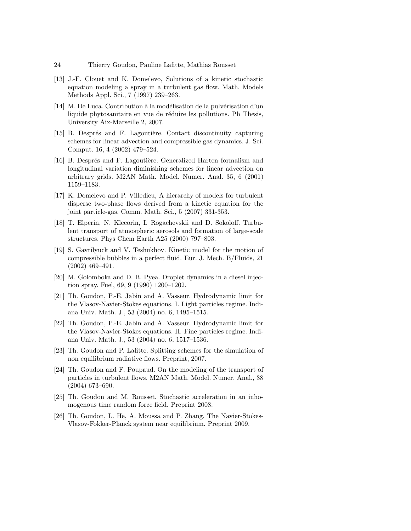- [13] J.-F. Clouet and K. Domelevo, Solutions of a kinetic stochastic equation modeling a spray in a turbulent gas flow. Math. Models Methods Appl. Sci., 7 (1997) 239–263.
- [14] M. De Luca. Contribution à la modélisation de la pulvérisation d'un liquide phytosanitaire en vue de réduire les pollutions. Ph Thesis, University Aix-Marseille 2, 2007.
- [15] B. Després and F. Lagoutière. Contact discontinuity capturing schemes for linear advection and compressible gas dynamics. J. Sci. Comput. 16, 4 (2002) 479–524.
- [16] B. Després and F. Lagoutière. Generalized Harten formalism and longitudinal variation diminishing schemes for linear advection on arbitrary grids. M2AN Math. Model. Numer. Anal. 35, 6 (2001) 1159–1183.
- [17] K. Domelevo and P. Villedieu, A hierarchy of models for turbulent disperse two-phase flows derived from a kinetic equation for the joint particle-gas. Comm. Math. Sci., 5 (2007) 331-353.
- [18] T. Elperin, N. Kleeorin, I. Rogachevskii and D. Sokoloff. Turbulent transport of atmospheric aerosols and formation of large-scale structures. Phys Chem Earth A25 (2000) 797–803.
- [19] S. Gavrilyuck and V. Teshukhov. Kinetic model for the motion of compressible bubbles in a perfect fluid. Eur. J. Mech. B/Fluids, 21 (2002) 469–491.
- [20] M. Golomboka and D. B. Pyea. Droplet dynamics in a diesel injection spray. Fuel, 69, 9 (1990) 1200–1202.
- [21] Th. Goudon, P.-E. Jabin and A. Vasseur. Hydrodynamic limit for the Vlasov-Navier-Stokes equations. I. Light particles regime. Indiana Univ. Math. J., 53 (2004) no. 6, 1495–1515.
- [22] Th. Goudon, P.-E. Jabin and A. Vasseur. Hydrodynamic limit for the Vlasov-Navier-Stokes equations. II. Fine particles regime. Indiana Univ. Math. J., 53 (2004) no. 6, 1517–1536.
- [23] Th. Goudon and P. Lafitte. Splitting schemes for the simulation of non equilibrium radiative flows. Preprint, 2007.
- [24] Th. Goudon and F. Poupaud. On the modeling of the transport of particles in turbulent flows. M2AN Math. Model. Numer. Anal., 38 (2004) 673–690.
- [25] Th. Goudon and M. Rousset. Stochastic acceleration in an inhomogenous time random force field. Preprint 2008.
- [26] Th. Goudon, L. He, A. Moussa and P. Zhang. The Navier-Stokes-Vlasov-Fokker-Planck system near equilibrium. Preprint 2009.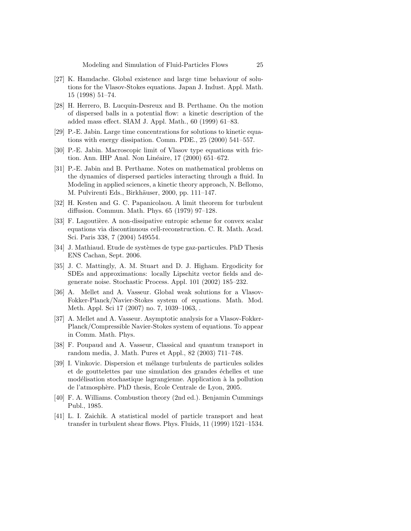- [27] K. Hamdache. Global existence and large time behaviour of solutions for the Vlasov-Stokes equations. Japan J. Indust. Appl. Math. 15 (1998) 51–74.
- [28] H. Herrero, B. Lucquin-Desreux and B. Perthame. On the motion of dispersed balls in a potential flow: a kinetic description of the added mass effect. SIAM J. Appl. Math., 60 (1999) 61–83.
- [29] P.-E. Jabin. Large time concentrations for solutions to kinetic equations with energy dissipation. Comm. PDE., 25 (2000) 541–557.
- [30] P.-E. Jabin. Macroscopic limit of Vlasov type equations with friction. Ann. IHP Anal. Non Linéaire, 17 (2000) 651–672.
- [31] P.-E. Jabin and B. Perthame. Notes on mathematical problems on the dynamics of dispersed particles interacting through a fluid. In Modeling in applied sciences, a kinetic theory approach, N. Bellomo, M. Pulvirenti Eds., Birkhäuser, 2000, pp. 111–147.
- [32] H. Kesten and G. C. Papanicolaou. A limit theorem for turbulent diffusion. Commun. Math. Phys. 65 (1979) 97–128.
- [33] F. Lagoutière. A non-dissipative entropic scheme for convex scalar equations via discontinuous cell-reconstruction. C. R. Math. Acad. Sci. Paris 338, 7 (2004) 549554.
- [34] J. Mathiaud. Etude de systèmes de type gaz-particules. PhD Thesis ENS Cachan, Sept. 2006.
- [35] J. C. Mattingly, A. M. Stuart and D. J. Higham. Ergodicity for SDEs and approximations: locally Lipschitz vector fields and degenerate noise. Stochastic Process. Appl. 101 (2002) 185–232.
- [36] A. Mellet and A. Vasseur. Global weak solutions for a Vlasov-Fokker-Planck/Navier-Stokes system of equations. Math. Mod. Meth. Appl. Sci 17 (2007) no. 7, 1039–1063, .
- [37] A. Mellet and A. Vasseur. Asymptotic analysis for a Vlasov-Fokker-Planck/Compressible Navier-Stokes system of equations. To appear in Comm. Math. Phys.
- [38] F. Poupaud and A. Vasseur, Classical and quantum transport in random media, J. Math. Pures et Appl., 82 (2003) 711–748.
- [39] I. Vinkovic. Dispersion et mélange turbulents de particules solides et de gouttelettes par une simulation des grandes échelles et une modélisation stochastique lagrangienne. Application à la pollution de l'atmosph`ere. PhD thesis, Ecole Centrale de Lyon, 2005.
- [40] F. A. Williams. Combustion theory (2nd ed.). Benjamin Cummings Publ., 1985.
- [41] L. I. Zaichik. A statistical model of particle transport and heat transfer in turbulent shear flows. Phys. Fluids, 11 (1999) 1521–1534.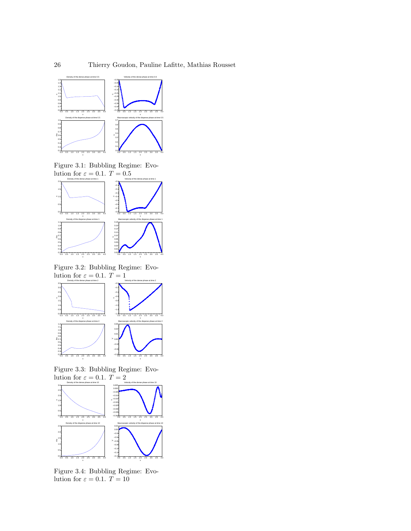

Figure 3.1: Bubbling Regime: Evo-



Figure 3.2: Bubbling Regime: Evolution for  $\varepsilon = 0.1$ .  $T = 1$ 

x



Figure 3.3: Bubbling Regime: Evolution for  $\varepsilon = 0.1$ .  $T = 2$ 



Figure 3.4: Bubbling Regime: Evolution for  $\varepsilon = 0.1$ .  $T = 10$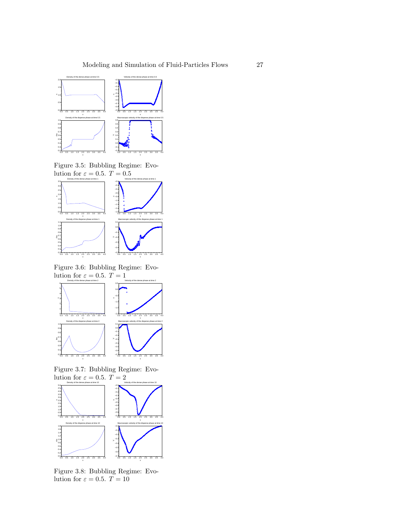

Figure 3.5: Bubbling Regime: Evo-



Figure 3.6: Bubbling Regime: Evolution for  $\varepsilon = 0.5$ .  $T = 1$ 

x



Figure 3.7: Bubbling Regime: Evolution for  $\varepsilon = 0.5$ .  $T = 2$ 



Figure 3.8: Bubbling Regime: Evolution for  $\varepsilon = 0.5$ .  $\widetilde{T} = 10$